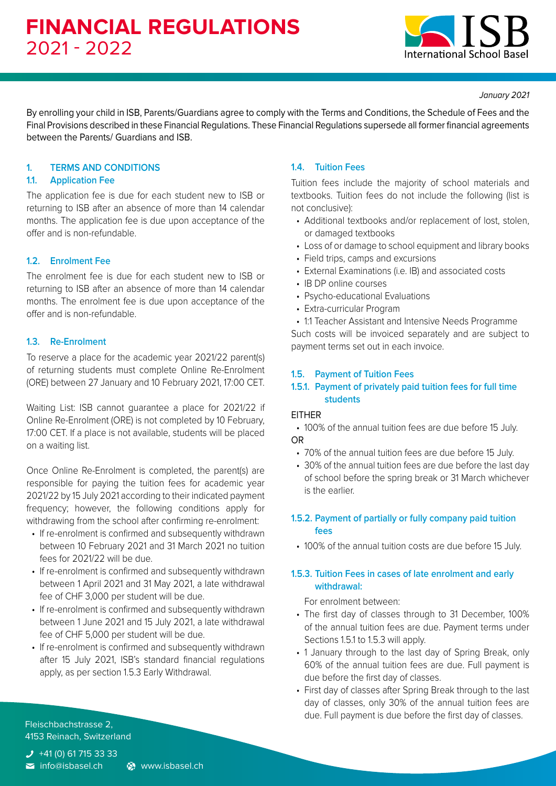

*January 2021*

By enrolling your child in ISB, Parents/Guardians agree to comply with the Terms and Conditions, the Schedule of Fees and the Final Provisions described in these Financial Regulations. These Financial Regulations supersede all former financial agreements between the Parents/ Guardians and ISB.

## **1. TERMS AND CONDITIONS**

## **1.1. Application Fee**

The application fee is due for each student new to ISB or returning to ISB after an absence of more than 14 calendar months. The application fee is due upon acceptance of the offer and is non-refundable.

# **1.2. Enrolment Fee**

The enrolment fee is due for each student new to ISB or returning to ISB after an absence of more than 14 calendar months. The enrolment fee is due upon acceptance of the offer and is non-refundable.

## **1.3. Re-Enrolment**

To reserve a place for the academic year 2021/22 parent(s) of returning students must complete Online Re-Enrolment (ORE) between 27 January and 10 February 2021, 17:00 CET.

Waiting List: ISB cannot guarantee a place for 2021/22 if Online Re-Enrolment (ORE) is not completed by 10 February, 17:00 CET. If a place is not available, students will be placed on a waiting list.

Once Online Re-Enrolment is completed, the parent(s) are responsible for paying the tuition fees for academic year 2021/22 by 15 July 2021 according to their indicated payment frequency; however, the following conditions apply for withdrawing from the school after confirming re-enrolment:

- If re-enrolment is confirmed and subsequently withdrawn between 10 February 2021 and 31 March 2021 no tuition fees for 2021/22 will be due.
- If re-enrolment is confirmed and subsequently withdrawn between 1 April 2021 and 31 May 2021, a late withdrawal fee of CHF 3,000 per student will be due.
- If re-enrolment is confirmed and subsequently withdrawn between 1 June 2021 and 15 July 2021, a late withdrawal fee of CHF 5,000 per student will be due.
- If re-enrolment is confirmed and subsequently withdrawn after 15 July 2021, ISB's standard financial regulations apply, as per section 1.5.3 Early Withdrawal.

# **1.4. Tuition Fees**

Tuition fees include the majority of school materials and textbooks. Tuition fees do not include the following (list is not conclusive):

- Additional textbooks and/or replacement of lost, stolen, or damaged textbooks
- Loss of or damage to school equipment and library books
- Field trips, camps and excursions
- External Examinations (i.e. IB) and associated costs
- IB DP online courses
- Psycho-educational Evaluations
- Extra-curricular Program
- 1:1 Teacher Assistant and Intensive Needs Programme

Such costs will be invoiced separately and are subject to payment terms set out in each invoice.

### **1.5. Payment of Tuition Fees**

## **1.5.1. Payment of privately paid tuition fees for full time students**

### EITHER

• 100% of the annual tuition fees are due before 15 July. OR

- 70% of the annual tuition fees are due before 15 July.
- 30% of the annual tuition fees are due before the last day of school before the spring break or 31 March whichever is the earlier.

## **1.5.2. Payment of partially or fully company paid tuition fees**

• 100% of the annual tuition costs are due before 15 July.

## **1.5.3. Tuition Fees in cases of late enrolment and early withdrawal:**

For enrolment between:

- The first day of classes through to 31 December, 100% of the annual tuition fees are due. Payment terms under Sections 1.5.1 to 1.5.3 will apply.
- 1 January through to the last day of Spring Break, only 60% of the annual tuition fees are due. Full payment is due before the first day of classes.
- First day of classes after Spring Break through to the last day of classes, only 30% of the annual tuition fees are due. Full payment is due before the first day of classes.

Fleischbachstrasse 2, 4153 Reinach, Switzerland

 $J$  +41 (0) 61 715 33 33